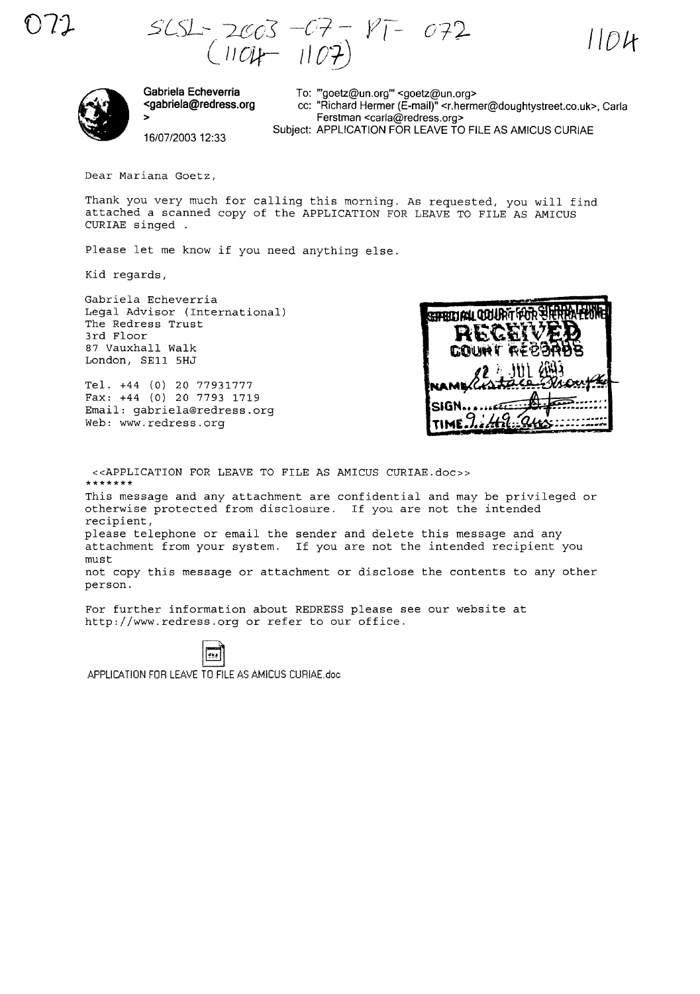**Ot}-** *5'L5L--. '2[(,03" -C'l-* - JlJ=-  $(1005 - 07 - 1107)$   $1104$ 



**Gabriela Echeverria <gabriela@redress.org** >

To: "'goetz@un.org'" <goetz@un.org> cc: "Richard Hermer (E-mail)" <r.hermer@doughtystreet.co.uk>, Carla Ferstman <carla@redress.org> Subject: APPLICATION FOR LEAVE TO FILE AS AMICUS CURIAE

16/07/200312:33

Dear Mariana Goetz,

Thank you very much for calling this morning. As requested, you will find attached a scanned copy of the APPLICATION FOR LEAVE TO FILE AS AMICUS CURIAE singed

Please let me know if you need anything else.

Kid regards,

Gabriela Echeverria Legal Advisor (International) The Redress Trust 3rd Floor 87 Vauxhall Walk London, SEll 5HJ

Tel. +44 (O) 20 77931777 Fax: +44 (O) 20 7793 1719 Email: gabriela@redress.org Web: www.redress.org



«APPLICATION FOR LEAVE TO FILE AS AMICUS CURIAE.doc» **\*\*\*\*\*\*\*** This message and any attachment are confidential and may be privileged or otherwise protected from disclosure. If you are not the intended recipient, please telephone or email the sender and delete this message and any attachment from your system. If you are not the intended recipient you must not copy this message or attachment or disclose the contents to any other person.

For further information about REDRESS please see our website at http://www.redress.org or refer to our office.

APPLlC6.TION FOR LEAVE TO FILE AS AMICUS CURIAE.doc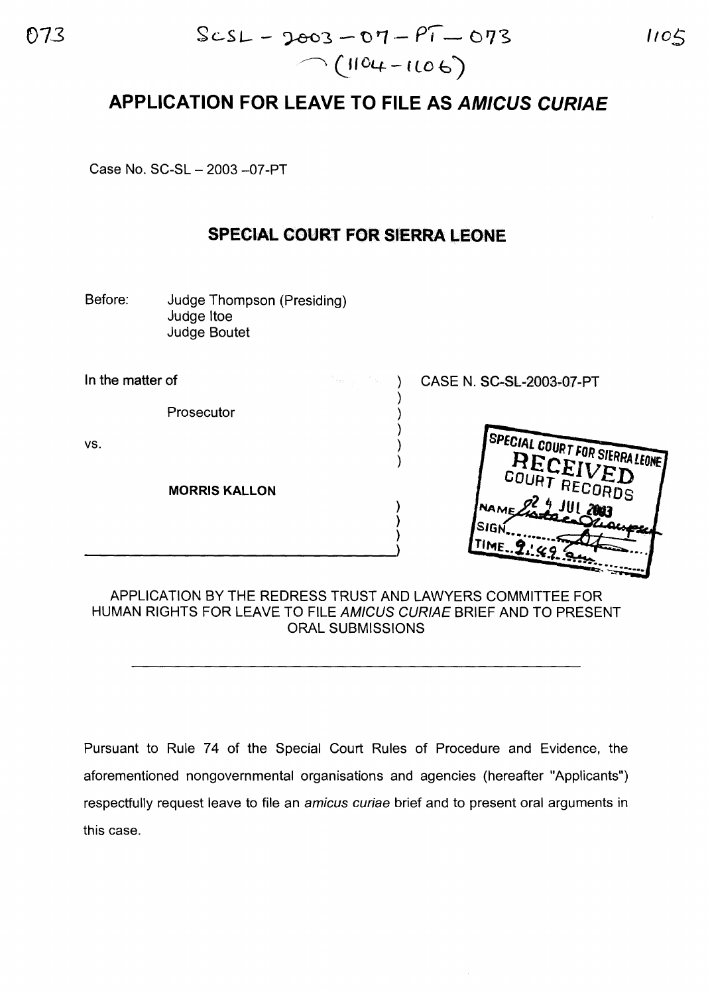## **APPLICATION FOR LEAVE TO FILE AS AMICUS CURIAE**

Case No. SC-SL - 2003 - 07-PT

## **SPECIAL COURT FOR SIERRA LEONE**

Before: Judge Thompson (Presiding) Judge Itoe Judge Boutet

In the matter of

Prosecutor

vs.

**MORRIS KALLON**

 $\bigg\}$ 

) CASE N. SC-SL-2003-07-PT



## APPLICATION BY THE REDRESS TRUST AND LAWYERS COMMITTEE FOR HUMAN RIGHTS FOR LEAVE TO FILE AMICUS CURIAE BRIEF AND TO PRESENT ORAL SUBMISSIONS

) ) )

) ) ) ) )

Pursuant to Rule 74 of the Special Court Rules of Procedure and Evidence, the aforementioned nongovernmental organisations and agencies (hereafter "Applicants") respectfully request leave to file an amicus curiae brief and to present oral arguments in this case.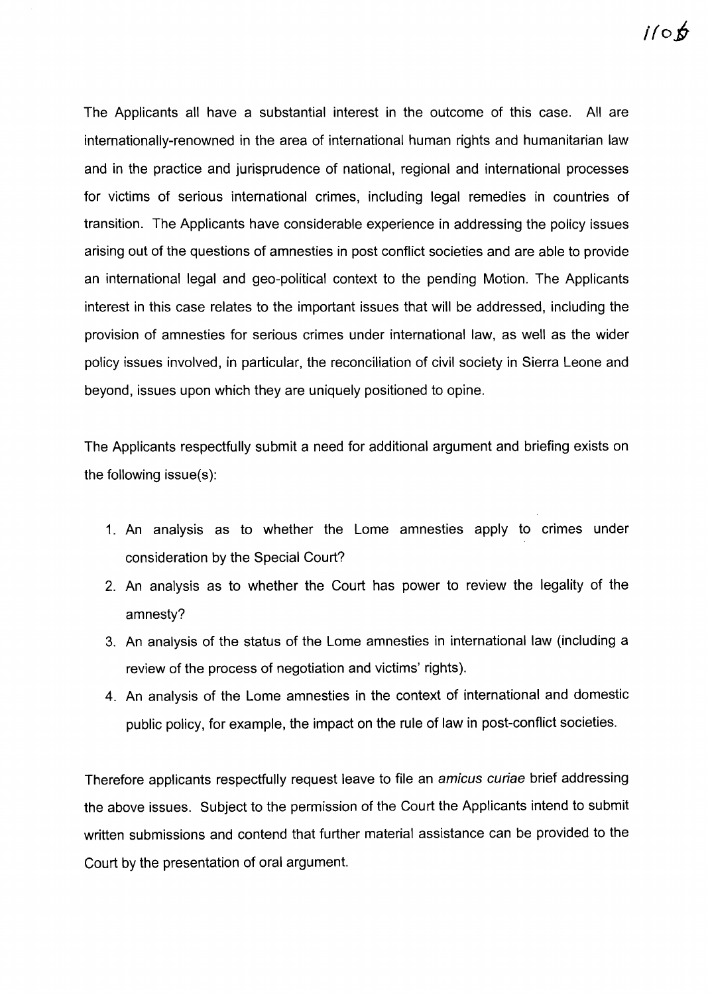The Applicants all have a substantial interest in the outcome of this case. All are internationally-renowned in the area of international human rights and humanitarian law and in the practice and jurisprudence of national, regional and international processes for victims of serious international crimes, including legal remedies in countries of transition. The Applicants have considerable experience in addressing the policy issues arising out of the questions of amnesties in post conflict societies and are able to provide an international legal and geo-political context to the pending Motion. The Applicants interest in this case relates to the important issues that will be addressed, including the provision of amnesties for serious crimes under international law, as well as the wider policy issues involved, in particular, the reconciliation of civil society in Sierra Leone and beyond, issues upon which they are uniquely positioned to opine.

The Applicants respectfully submit a need for additional argument and briefing exists on the following issue(s):

- 1. An analysis as to whether the Lome amnesties apply to crimes under consideration by the Special Court?
- 2. An analysis as to whether the Court has power to review the legality of the amnesty?
- 3. An analysis of the status of the Lome amnesties in international law (including a review of the process of negotiation and victims' rights).
- 4. An analysis of the Lome amnesties in the context of international and domestic public policy, for example, the impact on the rule of law in post-conflict societies.

Therefore applicants respectfully request leave to file an amicus curiae brief addressing the above issues. Subject to the permission of the Court the Applicants intend to submit written submissions and contend that further material assistance can be provided to the Court by the presentation of oral argument.